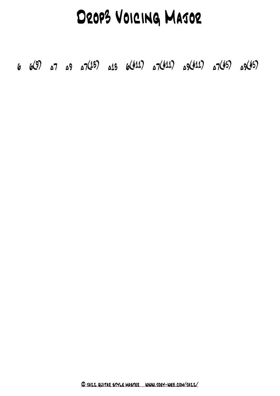# Drop3 Voicing Major

6 6 (9) ±7 ±9 ±7 (13) ±13 6 (#11) ±7 (#11) ±9 (#11) ±7 (#5) ±9 (#5)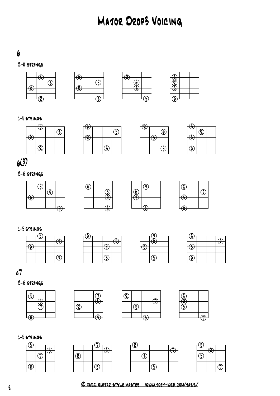# Major Drop3 Voicing

#### 

#### $2-6$  strings









#### 1-5 strings









# (9)

#### 2-6 strings







| G                    |   |
|----------------------|---|
|                      | O |
| ν.<br>$\overline{a}$ |   |
|                      |   |
| (h                   |   |
|                      |   |

#### 1-5 strings







| $\bigoplus$ |  |   |
|-------------|--|---|
|             |  | п |
| Œ           |  |   |
|             |  |   |
| $\bigcirc$  |  |   |
|             |  |   |

## ±7

#### 2-6 strings



















 $\overline{\mathcal{F}}$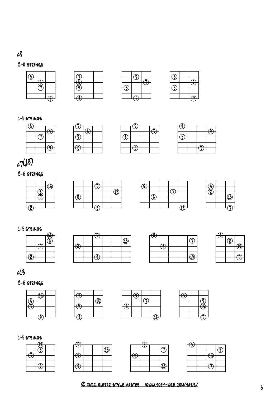#### **و**

#### 2-6 strings





| 4 |  |
|---|--|
|   |  |
|   |  |
|   |  |
|   |  |
|   |  |

#### $1-5$  strings







| $\bigcirc$ |  |   |
|------------|--|---|
|            |  | ₽ |
| $\Theta$   |  |   |
|            |  |   |
|            |  |   |
|            |  |   |
|            |  |   |

# $2(13)$

#### 2-6 strings



|             |  | $\bigoplus$ |
|-------------|--|-------------|
| $\bigoplus$ |  |             |
|             |  |             |
|             |  |             |
|             |  |             |

| -                                           |   |  |  |
|---------------------------------------------|---|--|--|
| $\bigcircled{\textcolor{red} {\textbf{t}}}$ |   |  |  |
|                                             | ⊕ |  |  |
|                                             |   |  |  |
|                                             |   |  |  |
|                                             |   |  |  |

| , |   |
|---|---|
|   |   |
|   | ß |
|   |   |
|   |   |
|   |   |

#### 1-5 strings



|             |               |  | $\bigoplus$ |
|-------------|---------------|--|-------------|
|             |               |  |             |
| $\bigoplus$ |               |  |             |
|             | $\mathbf{a}$  |  |             |
|             | $\mathcal{L}$ |  |             |





#### ± 13

#### 2-6 strings











| o |  |
|---|--|
|   |  |
|   |  |
|   |  |
|   |  |
|   |  |

|  |  | $\circled{4}$ |
|--|--|---------------|
|  |  |               |
|  |  |               |
|  |  |               |
|  |  |               |
|  |  |               |

| f, |  |    |
|----|--|----|
|    |  |    |
|    |  | u. |
|    |  |    |

|  | $\bigoplus$ |  |
|--|-------------|--|
|  |             |  |
|  |             |  |
|  |             |  |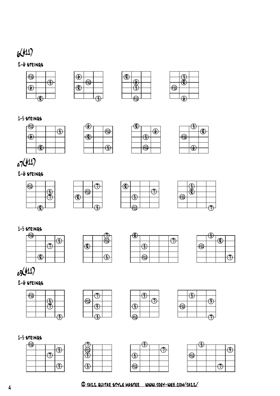# 6 (#11)

#### 2-6 strings









#### 1-5 strings

| ⊕          |                     |  |
|------------|---------------------|--|
| $\bigcirc$ |                     |  |
|            |                     |  |
|            | $\boldsymbol{\phi}$ |  |

| ī. |  |
|----|--|
|    |  |
|    |  |
|    |  |

 $\bigcirc$ 

₩

| $\hat{\mathbf{f}}$ |   |    |
|--------------------|---|----|
|                    |   | Ρ. |
|                    | 0 |    |
|                    |   |    |
|                    | ⊕ |    |
|                    |   |    |

|   | ₽ |
|---|---|
| ⋒ |   |
|   |   |
|   |   |
|   |   |
|   |   |

# ±7 (#11)

#### 2-6 strings







|             | ŋ |  |
|-------------|---|--|
|             |   |  |
| $\bigoplus$ |   |  |
|             |   |  |
|             |   |  |
|             |   |  |

#### 1-5 strings











#### 2-6 strings









#### 1-5 strings

| ⊕ |  |  |
|---|--|--|
|   |  |  |
|   |  |  |
|   |  |  |
|   |  |  |
|   |  |  |



|   | F |  |  |
|---|---|--|--|
|   |   |  |  |
| ⊕ |   |  |  |
|   |   |  |  |
|   |   |  |  |
|   |   |  |  |
|   |   |  |  |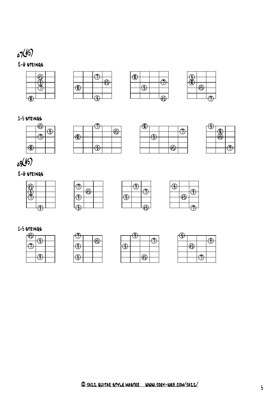## 2-6 strings ±7 (#5)









#### 1-5 strings





| $\bigoplus$ |               |   |  |
|-------------|---------------|---|--|
|             |               |   |  |
|             | $\mathcal{F}$ |   |  |
|             |               |   |  |
|             |               | ⊕ |  |
|             |               |   |  |



# ± 9 (#5)

#### 2-6 strings



# $\bigoplus$  $\bigoplus$  $\theta$

| ᅾ |               |  |
|---|---------------|--|
|   | $\circledast$ |  |
|   |               |  |
|   |               |  |
|   |               |  |

#### 1-5 strings

|  | п<br>٦ |
|--|--------|
|  |        |
|  |        |
|  |        |

| 子 |   |  |
|---|---|--|
|   | ⊕ |  |
|   |   |  |

| $\bigoplus$ |    |  |
|-------------|----|--|
|             |    |  |
|             | ,, |  |
|             |    |  |
|             |    |  |
|             |    |  |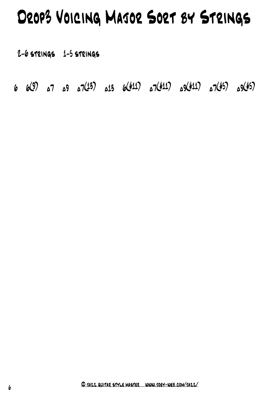# Drop3 Voicing Major Sort by Strings

2-6 strings 1-5 strings

6 6 (9) ±7 ±9 ±7 (13) ±13 6 (#11) ±7 (#11) ±9 (#11) ±7 (#5) ±9 (#5)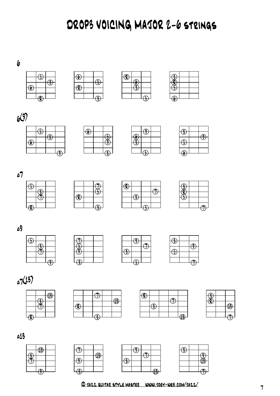DROP3 VOICING MAJOR 2-6 strings









| $\omega$ |  |  |  |
|----------|--|--|--|
|          |  |  |  |
|          |  |  |  |
|          |  |  |  |
|          |  |  |  |

| ш |  |
|---|--|
|   |  |
|   |  |
|   |  |
|   |  |



 $\sqrt{7}$ 







**و** 

















 $\pmb{\epsilon}$   $\overline{\Theta}$  $\bigcirc$ 







|  | $\overline{12}$ |
|--|-----------------|



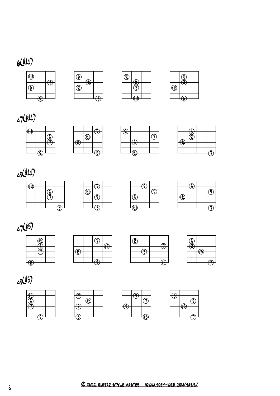# (#11)





| $\mathbf{\Theta}$ | ı |  |
|-------------------|---|--|
|                   |   |  |
|                   |   |  |
|                   |   |  |
|                   |   |  |





|  | ÷, |  |
|--|----|--|
|  |    |  |
|  |    |  |
|  |    |  |

| $\mathbf{R}$ |                  |  |
|--------------|------------------|--|
|              | 7                |  |
|              |                  |  |
|              |                  |  |
|              | $\epsilon$<br>ست |  |

| $\bigoplus$ |  |
|-------------|--|
|             |  |
|             |  |
|             |  |
|             |  |







| ιì |  |
|----|--|

|             | z |  |
|-------------|---|--|
| $\bigoplus$ |   |  |
|             |   |  |
|             |   |  |
|             |   |  |





















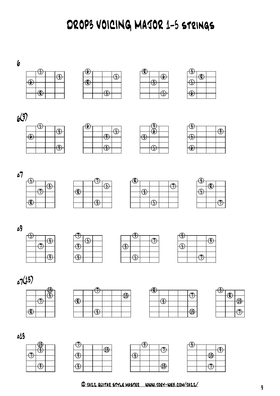DROP3 VOICING MAJOR 1-5 strings









| $\overline{\mathcal{P}}$ |   |  |
|--------------------------|---|--|
|                          | r |  |
|                          |   |  |
|                          |   |  |
|                          |   |  |
|                          |   |  |











 $\overline{\mathbb{G}}$ 

 $\overline{\bigoplus}$ 

 $\bigcirc$ 

 $\overline{\bigcirc}$ 















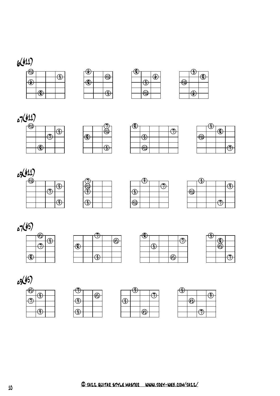# 6 (#11)

| $\bigoplus$ |                        |               |
|-------------|------------------------|---------------|
|             |                        |               |
|             |                        | $\frac{2}{3}$ |
| $\bigcirc$  |                        |               |
|             |                        |               |
|             | $\widehat{\mathbf{P}}$ |               |
|             |                        |               |

| $\bigoplus$ |                          |
|-------------|--------------------------|
|             | $\widehat{\mathfrak{H}}$ |
| ล           |                          |
|             |                          |
|             |                          |
|             |                          |







| n |  |
|---|--|
| ы |  |
|   |  |
|   |  |
|   |  |

| п | к, |   |  |  |
|---|----|---|--|--|
|   |    | п |  |  |
|   |    | 2 |  |  |
|   |    |   |  |  |
|   |    |   |  |  |









| £ |  |
|---|--|

















| $\mathcal{F}$ |   |  |
|---------------|---|--|
|               |   |  |
|               | ⊕ |  |
|               |   |  |
|               |   |  |
|               |   |  |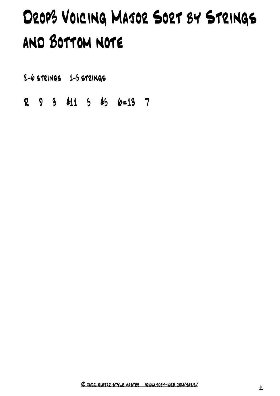# Drop3 Voicing Major Sort by Strings and Bottom note

2-6 strings 1-5 strings

R 9 3 #11 5 #5 6=13 7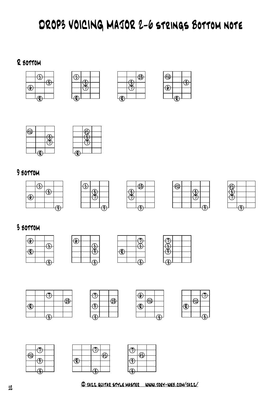# DROP3 VOICING MAJOR 2-6 strings Bottom note

#### R bottom





| $\bigoplus$ |  |   |  |  |
|-------------|--|---|--|--|
|             |  | 0 |  |  |
| . .         |  |   |  |  |
|             |  |   |  |  |
|             |  |   |  |  |



| م ا |  |
|-----|--|
|     |  |
|     |  |
|     |  |
|     |  |

#### bottom









## bottom













# 5









|  | e١ |  |
|--|----|--|
|  |    |  |
|  |    |  |
|  |    |  |
|  |    |  |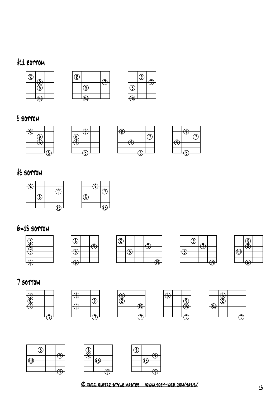# #11 bottom





|   | c |  |
|---|---|--|
|   |   |  |
| 2 |   |  |
|   |   |  |
| ⋒ |   |  |

#### bottom



| =<br>$\mathbf{P}$ |   |  |
|-------------------|---|--|
|                   |   |  |
|                   | Q |  |
|                   |   |  |
|                   |   |  |
|                   |   |  |

# #5 bottom





# 6=13 bottom



| $\circledast$ |               |  |     |  |
|---------------|---------------|--|-----|--|
|               |               |  |     |  |
|               | $\frac{2}{3}$ |  |     |  |
|               |               |  |     |  |
|               |               |  | 4\$ |  |

| $\widehat{\cdot}$ |  |   |
|-------------------|--|---|
|                   |  |   |
|                   |  | ው |
|                   |  |   |

| ıλ |  |
|----|--|
|    |  |
|    |  |
|    |  |

## bottom











| ⊕ |  |  |
|---|--|--|
|   |  |  |
|   |  |  |
|   |  |  |

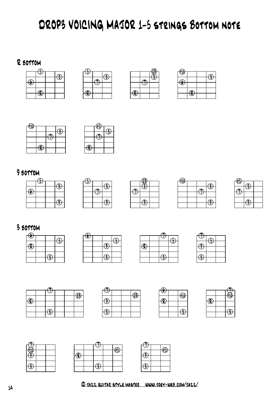# DROP3 VOICING MAJOR 1-5 strings Bottom note

#### R bottom



|  | è |
|--|---|
|  |   |
|  |   |
|  |   |
|  |   |

|   |   | o.<br>۰ |
|---|---|---------|
|   |   |         |
|   |   |         |
| - |   |         |
|   |   |         |
|   | Æ |         |





#### bottom











## bottom























© jazz guitar style master www.joey-web.com/jazz/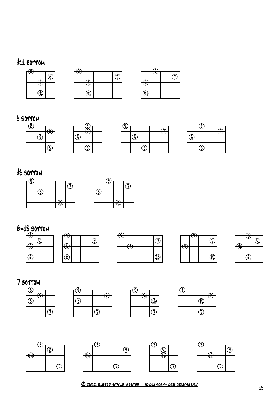# #11 bottom



| $\bigcirc\hspace{-2.5mm}\bigcirc$ |   |  |  |
|-----------------------------------|---|--|--|
|                                   |   |  |  |
|                                   |   |  |  |
|                                   |   |  |  |
|                                   | ⊕ |  |  |
|                                   |   |  |  |

|   | $\bigoplus$ |  |
|---|-------------|--|
|   |             |  |
| ÷ |             |  |
|   |             |  |
| Ð |             |  |
|   |             |  |

## bottom



|             | $\widehat{\mathcal{P}}$ |  |
|-------------|-------------------------|--|
|             |                         |  |
| $\bigoplus$ |                         |  |
|             |                         |  |
|             |                         |  |
|             |                         |  |

# #5 bottom





#### 6=13 bottom





| $\clubsuit$ |   |  |               |
|-------------|---|--|---------------|
|             |   |  |               |
|             |   |  |               |
|             | u |  |               |
|             |   |  |               |
|             |   |  | $\circledast$ |
|             |   |  |               |

| پې |  |             |
|----|--|-------------|
|    |  | $\bigoplus$ |
|    |  |             |

|    | û |   |
|----|---|---|
|    |   | ı |
| 11 |   |   |
|    |   |   |
|    |   |   |

#### bottom







| $\widehat{P}$ |            |  |
|---------------|------------|--|
|               |            |  |
|               | $\bigcirc$ |  |
|               |            |  |
|               |            |  |
|               |            |  |







| $\bigoplus$ |   |  |
|-------------|---|--|
|             |   |  |
|             | ⊕ |  |
|             |   |  |
|             |   |  |
|             |   |  |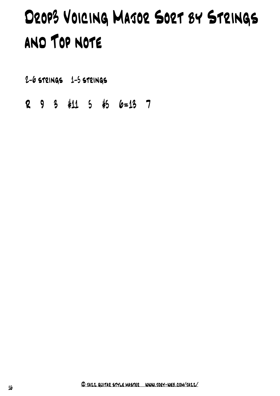# Drop3 Voicing Major Sort by Strings and Top note

2-6 strings 1-5 strings

R 9 3 #11 5 #5 6=13 7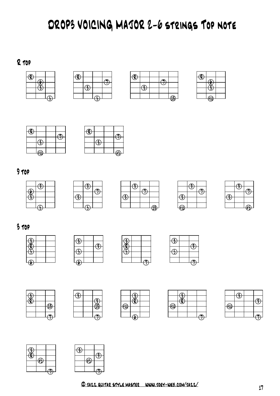# DROP3 VOICING MAJOR 2-6 strings Top note

R top













#### top





| И |  |   |
|---|--|---|
|   |  |   |
|   |  | À |

| $\tilde{f}$                |  |  |
|----------------------------|--|--|
|                            |  |  |
| $\mathbf{\hat{\Phi}}$<br>4 |  |  |



## top















| $\bigoplus$ |  |  |
|-------------|--|--|
|             |  |  |
|             |  |  |
|             |  |  |



| g |                  |   |
|---|------------------|---|
|   |                  | F |
|   | r<br>۰<br>−<br>٦ |   |
|   |                  |   |
|   |                  |   |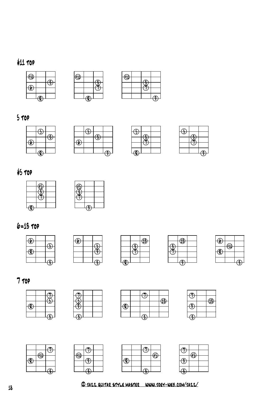# #11 top





| $\bigoplus$ |  |  |
|-------------|--|--|
|             |  |  |
|             |  |  |
|             |  |  |
|             |  |  |
|             |  |  |

top



# #5 top





# 6=13 top





|  | $\overline{\mathbf{A}}$ |
|--|-------------------------|
|  |                         |
|  |                         |
|  |                         |
|  |                         |
|  |                         |





top











| ⋒ |  |
|---|--|
|   |  |
|   |  |
|   |  |
|   |  |

|   |  | 49 |
|---|--|----|
|   |  |    |
| ┑ |  |    |
|   |  |    |
|   |  |    |



| $\overline{\mathcal{P}}$ |  |
|--------------------------|--|
|                          |  |
|                          |  |
|                          |  |
|                          |  |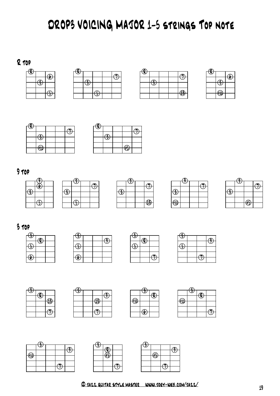# DROP3 VOICING MAJOR 1-5 strings Top note

#### R top





| $\bigcirc$ |   |  |   |
|------------|---|--|---|
|            |   |  |   |
|            | ⊕ |  |   |
|            |   |  |   |
|            |   |  | z |
|            |   |  |   |





| $\textcircled{\textbf{R}}$ |     |   |  |
|----------------------------|-----|---|--|
|                            |     |   |  |
|                            | - 2 |   |  |
|                            |     |   |  |
|                            |     |   |  |
|                            |     | ⊕ |  |

#### top







|                        | W. |  |
|------------------------|----|--|
|                        |    |  |
|                        |    |  |
|                        |    |  |
| $\widehat{\mathbb{H}}$ |    |  |
|                        |    |  |

| ه<br>۰. |   |  |
|---------|---|--|
|         |   |  |
|         |   |  |
|         |   |  |
|         |   |  |
|         | ⊕ |  |
|         |   |  |

#### top





| B |   |  |
|---|---|--|
|   | ŋ |  |
|   | z |  |
|   |   |  |
|   |   |  |
|   |   |  |

| $\circledast$ |  |  |
|---------------|--|--|
|               |  |  |
| $\div$        |  |  |
|               |  |  |
|               |  |  |
|               |  |  |